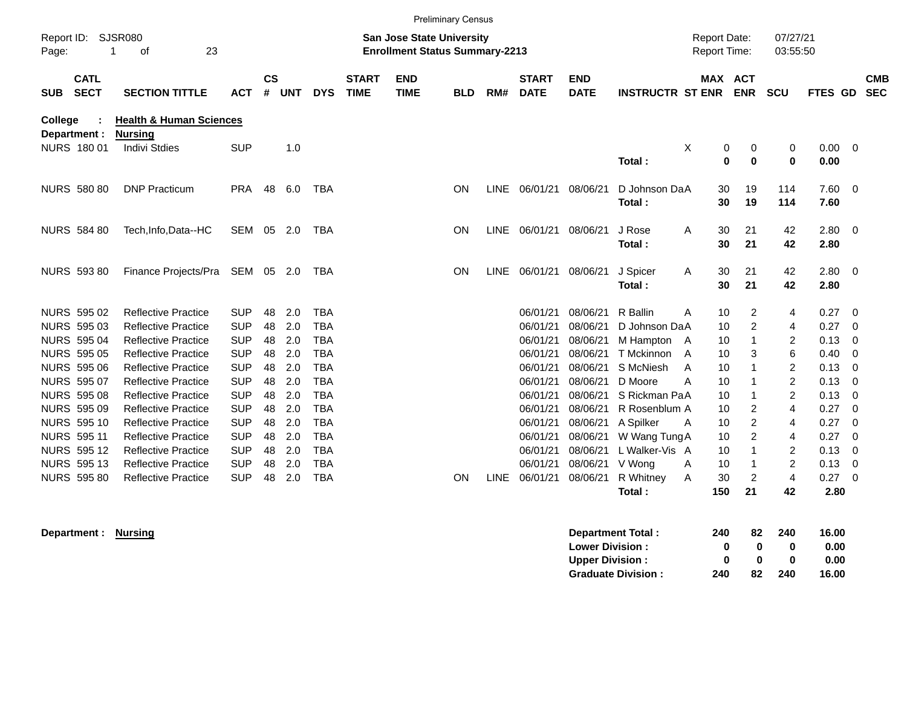|                                                                                                                                                                                                                                 |                            |                                                                                                                                                                                                                                                                                                                                        |                                                                                                                                                        |                                                                           |                                                                           |                                                                                                                                                        |                             |                           | <b>Preliminary Census</b> |             |                                                                                                                                  |                                                                                                                                  |                                                                                                                                                                  |                       |                                                                |                                                                                          |                                                                                                         |                                                                                      |                                                                                                                          |                          |
|---------------------------------------------------------------------------------------------------------------------------------------------------------------------------------------------------------------------------------|----------------------------|----------------------------------------------------------------------------------------------------------------------------------------------------------------------------------------------------------------------------------------------------------------------------------------------------------------------------------------|--------------------------------------------------------------------------------------------------------------------------------------------------------|---------------------------------------------------------------------------|---------------------------------------------------------------------------|--------------------------------------------------------------------------------------------------------------------------------------------------------|-----------------------------|---------------------------|---------------------------|-------------|----------------------------------------------------------------------------------------------------------------------------------|----------------------------------------------------------------------------------------------------------------------------------|------------------------------------------------------------------------------------------------------------------------------------------------------------------|-----------------------|----------------------------------------------------------------|------------------------------------------------------------------------------------------|---------------------------------------------------------------------------------------------------------|--------------------------------------------------------------------------------------|--------------------------------------------------------------------------------------------------------------------------|--------------------------|
| <b>SJSR080</b><br>Report ID:<br>οf<br>23<br>1<br>Page:                                                                                                                                                                          |                            |                                                                                                                                                                                                                                                                                                                                        |                                                                                                                                                        | <b>San Jose State University</b><br><b>Enrollment Status Summary-2213</b> |                                                                           |                                                                                                                                                        |                             |                           |                           |             |                                                                                                                                  |                                                                                                                                  | 07/27/21<br><b>Report Date:</b><br>Report Time:<br>03:55:50                                                                                                      |                       |                                                                |                                                                                          |                                                                                                         |                                                                                      |                                                                                                                          |                          |
| <b>SUB</b>                                                                                                                                                                                                                      | <b>CATL</b><br><b>SECT</b> | <b>SECTION TITTLE</b>                                                                                                                                                                                                                                                                                                                  | <b>ACT</b>                                                                                                                                             | <b>CS</b><br>#                                                            | <b>UNT</b>                                                                | <b>DYS</b>                                                                                                                                             | <b>START</b><br><b>TIME</b> | <b>END</b><br><b>TIME</b> | <b>BLD</b>                | RM#         | <b>START</b><br><b>DATE</b>                                                                                                      | <b>END</b><br><b>DATE</b>                                                                                                        | <b>INSTRUCTR ST ENR</b>                                                                                                                                          |                       |                                                                | MAX ACT<br><b>ENR</b>                                                                    | <b>SCU</b>                                                                                              | FTES GD                                                                              |                                                                                                                          | <b>CMB</b><br><b>SEC</b> |
| College<br>Department :                                                                                                                                                                                                         |                            | <b>Health &amp; Human Sciences</b><br><b>Nursing</b>                                                                                                                                                                                                                                                                                   |                                                                                                                                                        |                                                                           |                                                                           |                                                                                                                                                        |                             |                           |                           |             |                                                                                                                                  |                                                                                                                                  |                                                                                                                                                                  |                       |                                                                |                                                                                          |                                                                                                         |                                                                                      |                                                                                                                          |                          |
| NURS 180 01                                                                                                                                                                                                                     |                            | <b>Indivi Stdies</b>                                                                                                                                                                                                                                                                                                                   | <b>SUP</b>                                                                                                                                             |                                                                           | 1.0                                                                       |                                                                                                                                                        |                             |                           |                           |             |                                                                                                                                  |                                                                                                                                  | Total:                                                                                                                                                           | X                     | 0<br>$\mathbf{0}$                                              | 0<br>$\mathbf 0$                                                                         | 0<br>0                                                                                                  | 0.00<br>0.00                                                                         | $\Omega$                                                                                                                 |                          |
| <b>NURS 580 80</b>                                                                                                                                                                                                              |                            | <b>DNP Practicum</b>                                                                                                                                                                                                                                                                                                                   | <b>PRA</b>                                                                                                                                             | 48                                                                        | 6.0                                                                       | TBA                                                                                                                                                    |                             |                           | ON                        | <b>LINE</b> | 06/01/21                                                                                                                         | 08/06/21                                                                                                                         | D Johnson DaA<br>Total:                                                                                                                                          |                       | 30<br>30                                                       | 19<br>19                                                                                 | 114<br>114                                                                                              | 7.60<br>7.60                                                                         | 0                                                                                                                        |                          |
| <b>NURS 584 80</b>                                                                                                                                                                                                              |                            | Tech, Info, Data--HC                                                                                                                                                                                                                                                                                                                   | SEM 05                                                                                                                                                 |                                                                           | 2.0                                                                       | <b>TBA</b>                                                                                                                                             |                             |                           | ON                        | <b>LINE</b> | 06/01/21                                                                                                                         | 08/06/21                                                                                                                         | J Rose<br>Total:                                                                                                                                                 | A                     | 30<br>30                                                       | 21<br>21                                                                                 | 42<br>42                                                                                                | 2.80<br>2.80                                                                         | 0                                                                                                                        |                          |
| <b>NURS 593 80</b>                                                                                                                                                                                                              |                            | Finance Projects/Pra                                                                                                                                                                                                                                                                                                                   | SEM 05                                                                                                                                                 |                                                                           | -2.0                                                                      | TBA                                                                                                                                                    |                             |                           | ON                        | <b>LINE</b> | 06/01/21                                                                                                                         | 08/06/21                                                                                                                         | J Spicer<br>Total:                                                                                                                                               | A                     | 30<br>30                                                       | 21<br>21                                                                                 | 42<br>42                                                                                                | 2.80<br>2.80                                                                         | $\overline{0}$                                                                                                           |                          |
| <b>NURS 595 02</b><br>NURS 595 03<br><b>NURS 595 04</b><br><b>NURS 595 05</b><br><b>NURS 595 06</b><br>NURS 595 07<br><b>NURS 595 08</b><br><b>NURS 595 09</b><br><b>NURS 595 10</b><br><b>NURS 59511</b><br><b>NURS 595 12</b> |                            | <b>Reflective Practice</b><br><b>Reflective Practice</b><br><b>Reflective Practice</b><br><b>Reflective Practice</b><br><b>Reflective Practice</b><br><b>Reflective Practice</b><br><b>Reflective Practice</b><br><b>Reflective Practice</b><br><b>Reflective Practice</b><br><b>Reflective Practice</b><br><b>Reflective Practice</b> | <b>SUP</b><br><b>SUP</b><br><b>SUP</b><br><b>SUP</b><br><b>SUP</b><br><b>SUP</b><br><b>SUP</b><br><b>SUP</b><br><b>SUP</b><br><b>SUP</b><br><b>SUP</b> | 48<br>48<br>48<br>48<br>48<br>48<br>48<br>48<br>48<br>48<br>48            | 2.0<br>2.0<br>2.0<br>2.0<br>2.0<br>2.0<br>2.0<br>2.0<br>2.0<br>2.0<br>2.0 | <b>TBA</b><br><b>TBA</b><br><b>TBA</b><br><b>TBA</b><br><b>TBA</b><br><b>TBA</b><br><b>TBA</b><br><b>TBA</b><br><b>TBA</b><br><b>TBA</b><br><b>TBA</b> |                             |                           |                           |             | 06/01/21<br>06/01/21<br>06/01/21<br>06/01/21<br>06/01/21<br>06/01/21<br>06/01/21<br>06/01/21<br>06/01/21<br>06/01/21<br>06/01/21 | 08/06/21<br>08/06/21<br>08/06/21<br>08/06/21<br>08/06/21<br>08/06/21<br>08/06/21<br>08/06/21<br>08/06/21<br>08/06/21<br>08/06/21 | R Ballin<br>D Johnson DaA<br>M Hampton A<br>T Mckinnon<br>S McNiesh<br>D Moore<br>S Rickman PaA<br>R Rosenblum A<br>A Spilker<br>W Wang Tung A<br>L Walker-Vis A | A<br>A<br>A<br>Α<br>A | 10<br>10<br>10<br>10<br>10<br>10<br>10<br>10<br>10<br>10<br>10 | 2<br>2<br>$\mathbf{1}$<br>3<br>1<br>1<br>1<br>2<br>$\overline{c}$<br>$\overline{2}$<br>1 | 4<br>4<br>$\overline{c}$<br>6<br>$\overline{c}$<br>$\overline{c}$<br>$\overline{2}$<br>4<br>4<br>4<br>2 | 0.27<br>0.27<br>0.13<br>0.40<br>0.13<br>0.13<br>0.13<br>0.27<br>0.27<br>0.27<br>0.13 | $\Omega$<br>$\mathbf 0$<br>$\mathbf 0$<br>$\Omega$<br>0<br>$\Omega$<br>$\Omega$<br>$\Omega$<br>$\Omega$<br>$\Omega$<br>0 |                          |
| <b>NURS 595 13</b><br><b>NURS 595 80</b>                                                                                                                                                                                        |                            | <b>Reflective Practice</b><br><b>Reflective Practice</b>                                                                                                                                                                                                                                                                               | <b>SUP</b><br><b>SUP</b>                                                                                                                               | 48<br>48                                                                  | 2.0<br>2.0                                                                | <b>TBA</b><br><b>TBA</b>                                                                                                                               |                             |                           | ON                        | LINE        | 06/01/21<br>06/01/21                                                                                                             | 08/06/21<br>08/06/21                                                                                                             | V Wong<br>R Whitney<br>Total:                                                                                                                                    | A<br>A                | 10<br>30<br>150                                                | 1<br>$\overline{2}$<br>21                                                                | $\overline{c}$<br>4<br>42                                                                               | 0.13<br>0.27<br>2.80                                                                 | 0<br>0                                                                                                                   |                          |

**Department : Nursing** 

| Department Total:         | 240 | 82           | 240 | 16.00 |
|---------------------------|-----|--------------|-----|-------|
| <b>Lower Division:</b>    | n   | $\mathbf{u}$ | O   | 0.00  |
| <b>Upper Division:</b>    | n   | n            | o   | 0.00  |
| <b>Graduate Division:</b> | 240 | 82           | 240 | 16.00 |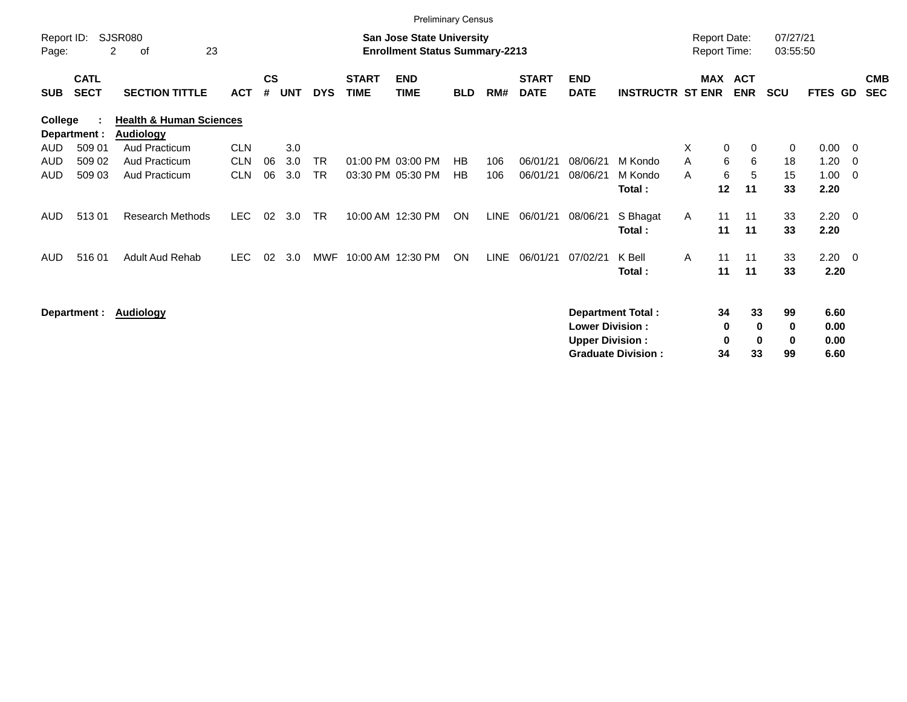|                                                 |                            |                                                        |            |                                                                           |            |            |                             |                           | <b>Preliminary Census</b> |      |                             |                                                  |                                                 |                                            |                          |                           |                    |                              |     |                          |
|-------------------------------------------------|----------------------------|--------------------------------------------------------|------------|---------------------------------------------------------------------------|------------|------------|-----------------------------|---------------------------|---------------------------|------|-----------------------------|--------------------------------------------------|-------------------------------------------------|--------------------------------------------|--------------------------|---------------------------|--------------------|------------------------------|-----|--------------------------|
| SJSR080<br>Report ID:<br>23<br>2<br>Page:<br>οf |                            |                                                        |            | <b>San Jose State University</b><br><b>Enrollment Status Summary-2213</b> |            |            |                             |                           |                           |      |                             |                                                  |                                                 | <b>Report Date:</b><br><b>Report Time:</b> |                          | 07/27/21<br>03:55:50      |                    |                              |     |                          |
| <b>SUB</b>                                      | <b>CATL</b><br><b>SECT</b> | <b>SECTION TITTLE</b>                                  | <b>ACT</b> | $\mathsf{cs}$<br>#                                                        | <b>UNT</b> | <b>DYS</b> | <b>START</b><br><b>TIME</b> | <b>END</b><br><b>TIME</b> | <b>BLD</b>                | RM#  | <b>START</b><br><b>DATE</b> | <b>END</b><br><b>DATE</b>                        | <b>INSTRUCTR ST ENR</b>                         | MAX                                        | <b>ACT</b><br><b>ENR</b> | <b>SCU</b>                |                    | FTES GD                      |     | <b>CMB</b><br><b>SEC</b> |
| College                                         | Department :               | <b>Health &amp; Human Sciences</b><br><b>Audiology</b> |            |                                                                           |            |            |                             |                           |                           |      |                             |                                                  |                                                 |                                            |                          |                           |                    |                              |     |                          |
| <b>AUD</b>                                      | 509 01                     | Aud Practicum                                          | <b>CLN</b> |                                                                           | 3.0        |            |                             |                           |                           |      |                             |                                                  |                                                 | X                                          | 0                        | 0                         | 0                  | 0.00                         | - 0 |                          |
| AUD                                             | 509 02                     | Aud Practicum                                          | <b>CLN</b> | 06                                                                        | 3.0        | TR.        |                             | 01:00 PM 03:00 PM         | HB                        | 106  | 06/01/21                    | 08/06/21                                         | M Kondo                                         | A                                          | 6                        | 6                         | 18                 | 1.20                         | - 0 |                          |
| AUD                                             | 509 03                     | Aud Practicum                                          | <b>CLN</b> | 06                                                                        | 3.0        | <b>TR</b>  |                             | 03:30 PM 05:30 PM         | <b>HB</b>                 | 106  | 06/01/21                    | 08/06/21                                         | M Kondo<br>Total:                               | A                                          | 6<br>12<br>11            | 5                         | 15<br>33           | 1.00<br>2.20                 | - 0 |                          |
| <b>AUD</b>                                      | 51301                      | <b>Research Methods</b>                                | LEC.       | 02                                                                        | 3.0        | TR         |                             | 10:00 AM 12:30 PM         | ON                        | LINE | 06/01/21                    | 08/06/21                                         | S Bhagat<br>Total:                              | A                                          | 11<br>11<br>11<br>11     |                           | 33<br>33           | $2.20 \t 0$<br>2.20          |     |                          |
| <b>AUD</b>                                      | 51601                      | Adult Aud Rehab                                        | <b>LEC</b> | 02                                                                        | 3.0        | MWF        |                             | 10:00 AM 12:30 PM         | <b>ON</b>                 | LINE | 06/01/21                    | 07/02/21                                         | K Bell<br>Total:                                | A                                          | 11<br>11<br>11<br>11     |                           | 33<br>33           | $2.20 \t 0$<br>2.20          |     |                          |
|                                                 | Department :               | <b>Audiology</b>                                       |            |                                                                           |            |            |                             |                           |                           |      |                             | <b>Lower Division:</b><br><b>Upper Division:</b> | Department Total :<br><b>Graduate Division:</b> |                                            | 34<br>0<br>0<br>34       | 33<br>0<br>$\bf{0}$<br>33 | 99<br>0<br>0<br>99 | 6.60<br>0.00<br>0.00<br>6.60 |     |                          |